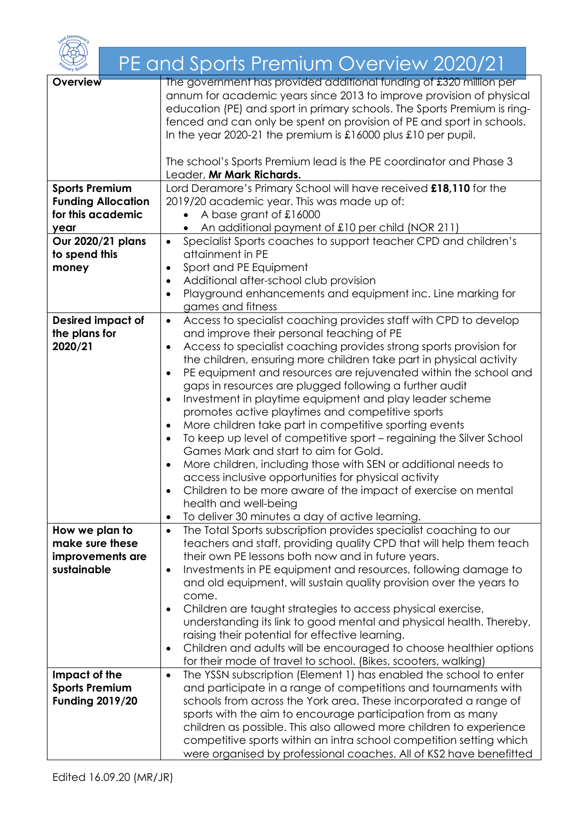|                           | PE and Sports Premium Overview 2020/21                                                                                                                                                                                                                                                          |
|---------------------------|-------------------------------------------------------------------------------------------------------------------------------------------------------------------------------------------------------------------------------------------------------------------------------------------------|
| <b>Overview</b>           | The government has provided additional funding of £320 million per<br>annum for academic years since 2013 to improve provision of physical<br>education (PE) and sport in primary schools. The Sports Premium is ring-<br>fenced and can only be spent on provision of PE and sport in schools. |
|                           | In the year 2020-21 the premium is $\pounds$ 16000 plus $\pounds$ 10 per pupil.                                                                                                                                                                                                                 |
|                           | The school's Sports Premium lead is the PE coordinator and Phase 3<br>Leader, Mr Mark Richards.                                                                                                                                                                                                 |
| <b>Sports Premium</b>     | Lord Deramore's Primary School will have received £18,110 for the                                                                                                                                                                                                                               |
| <b>Funding Allocation</b> | 2019/20 academic year. This was made up of:                                                                                                                                                                                                                                                     |
| for this academic         | A base grant of £16000                                                                                                                                                                                                                                                                          |
| year                      | An additional payment of £10 per child (NOR 211)                                                                                                                                                                                                                                                |
| Our 2020/21 plans         | Specialist Sports coaches to support teacher CPD and children's<br>$\bullet$                                                                                                                                                                                                                    |
| to spend this             | attainment in PE<br>Sport and PE Equipment                                                                                                                                                                                                                                                      |
| money                     | $\bullet$<br>Additional after-school club provision<br>$\bullet$                                                                                                                                                                                                                                |
|                           | Playground enhancements and equipment inc. Line marking for<br>$\bullet$                                                                                                                                                                                                                        |
|                           | games and fitness                                                                                                                                                                                                                                                                               |
| <b>Desired impact of</b>  | Access to specialist coaching provides staff with CPD to develop<br>$\bullet$                                                                                                                                                                                                                   |
| the plans for             | and improve their personal teaching of PE                                                                                                                                                                                                                                                       |
| 2020/21                   | Access to specialist coaching provides strong sports provision for<br>$\bullet$                                                                                                                                                                                                                 |
|                           | the children, ensuring more children take part in physical activity                                                                                                                                                                                                                             |
|                           | PE equipment and resources are rejuvenated within the school and<br>$\bullet$                                                                                                                                                                                                                   |
|                           | gaps in resources are plugged following a further audit<br>Investment in playtime equipment and play leader scheme<br>$\bullet$                                                                                                                                                                 |
|                           | promotes active playtimes and competitive sports                                                                                                                                                                                                                                                |
|                           | More children take part in competitive sporting events<br>$\bullet$                                                                                                                                                                                                                             |
|                           | To keep up level of competitive sport – regaining the Silver School                                                                                                                                                                                                                             |
|                           | Games Mark and start to aim for Gold.                                                                                                                                                                                                                                                           |
|                           | More children, including those with SEN or additional needs to                                                                                                                                                                                                                                  |
|                           | access inclusive opportunities for physical activity                                                                                                                                                                                                                                            |
|                           | Children to be more aware of the impact of exercise on mental<br>$\bullet$<br>health and well-being                                                                                                                                                                                             |
|                           | To deliver 30 minutes a day of active learning.<br>٠                                                                                                                                                                                                                                            |
| How we plan to            | The Total Sports subscription provides specialist coaching to our<br>$\bullet$                                                                                                                                                                                                                  |
| make sure these           | teachers and staff, providing quality CPD that will help them teach                                                                                                                                                                                                                             |
| improvements are          | their own PE lessons both now and in future years.                                                                                                                                                                                                                                              |
| sustainable               | Investments in PE equipment and resources, following damage to<br>٠                                                                                                                                                                                                                             |
|                           | and old equipment, will sustain quality provision over the years to<br>come.                                                                                                                                                                                                                    |
|                           | Children are taught strategies to access physical exercise,<br>$\bullet$                                                                                                                                                                                                                        |
|                           | understanding its link to good mental and physical health. Thereby,                                                                                                                                                                                                                             |
|                           | raising their potential for effective learning.                                                                                                                                                                                                                                                 |
|                           | Children and adults will be encouraged to choose healthier options<br>٠                                                                                                                                                                                                                         |
|                           | for their mode of travel to school. (Bikes, scooters, walking)                                                                                                                                                                                                                                  |
| Impact of the             | The YSSN subscription (Element 1) has enabled the school to enter<br>$\bullet$                                                                                                                                                                                                                  |
| <b>Sports Premium</b>     | and participate in a range of competitions and tournaments with                                                                                                                                                                                                                                 |
| <b>Funding 2019/20</b>    | schools from across the York area. These incorporated a range of                                                                                                                                                                                                                                |
|                           | sports with the aim to encourage participation from as many<br>children as possible. This also allowed more children to experience                                                                                                                                                              |
|                           | competitive sports within an intra school competition setting which                                                                                                                                                                                                                             |
|                           | were organised by professional coaches. All of KS2 have benefitted                                                                                                                                                                                                                              |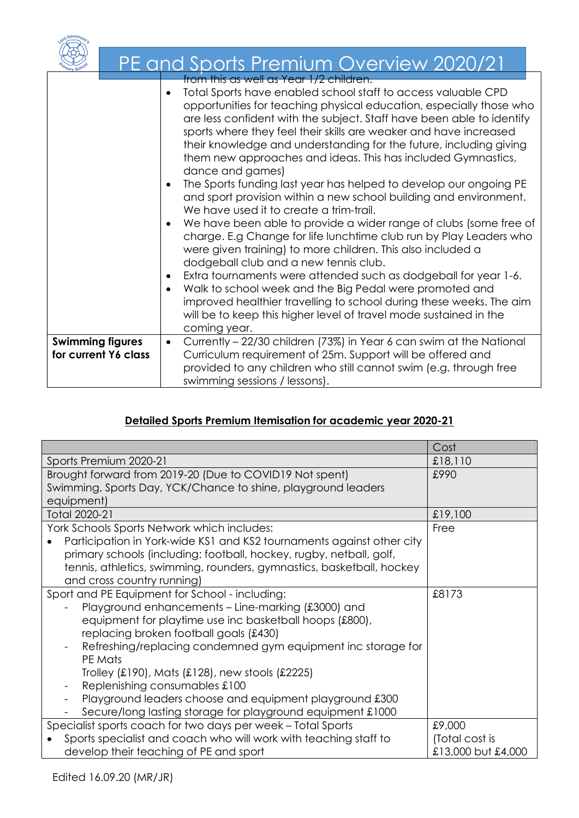|                                                 | PE and Sports Premium Overview 2020/21                                                                                                                                                                                                                                                                                                                                                                                                                                                                                                                                                                                                                                                                                                                                                                                                                                                                                                                                                                                                                                                                                                                                                                                                                                        |
|-------------------------------------------------|-------------------------------------------------------------------------------------------------------------------------------------------------------------------------------------------------------------------------------------------------------------------------------------------------------------------------------------------------------------------------------------------------------------------------------------------------------------------------------------------------------------------------------------------------------------------------------------------------------------------------------------------------------------------------------------------------------------------------------------------------------------------------------------------------------------------------------------------------------------------------------------------------------------------------------------------------------------------------------------------------------------------------------------------------------------------------------------------------------------------------------------------------------------------------------------------------------------------------------------------------------------------------------|
|                                                 | from this as well as Year 1/2 children.<br>Total Sports have enabled school staff to access valuable CPD<br>opportunities for teaching physical education, especially those who<br>are less confident with the subject. Staff have been able to identify<br>sports where they feel their skills are weaker and have increased<br>their knowledge and understanding for the future, including giving<br>them new approaches and ideas. This has included Gymnastics,<br>dance and games)<br>The Sports funding last year has helped to develop our ongoing PE<br>$\bullet$<br>and sport provision within a new school building and environment.<br>We have used it to create a trim-trail.<br>We have been able to provide a wider range of clubs (some free of<br>$\bullet$<br>charge. E.g Change for life lunchtime club run by Play Leaders who<br>were given training) to more children. This also included a<br>dodgeball club and a new tennis club.<br>Extra tournaments were attended such as dodgeball for year 1-6.<br>$\bullet$<br>Walk to school week and the Big Pedal were promoted and<br>$\bullet$<br>improved healthier travelling to school during these weeks. The aim<br>will be to keep this higher level of travel mode sustained in the<br>coming year. |
| <b>Swimming figures</b><br>for current Y6 class | Currently – 22/30 children (73%) in Year 6 can swim at the National<br>$\bullet$<br>Curriculum requirement of 25m. Support will be offered and<br>provided to any children who still cannot swim (e.g. through free<br>swimming sessions / lessons).                                                                                                                                                                                                                                                                                                                                                                                                                                                                                                                                                                                                                                                                                                                                                                                                                                                                                                                                                                                                                          |

## Detailed Sports Premium Itemisation for academic year 2020-21

|                                                                                          | Cost               |
|------------------------------------------------------------------------------------------|--------------------|
| Sports Premium 2020-21                                                                   | £18,110            |
| Brought forward from 2019-20 (Due to COVID19 Not spent)                                  | £990               |
| Swimming, Sports Day, YCK/Chance to shine, playground leaders                            |                    |
| equipment)                                                                               |                    |
| Total 2020-21                                                                            | £19,100            |
| York Schools Sports Network which includes:                                              | Free               |
| Participation in York-wide KS1 and KS2 tournaments against other city                    |                    |
| primary schools (including: football, hockey, rugby, netball, golf,                      |                    |
| tennis, athletics, swimming, rounders, gymnastics, basketball, hockey                    |                    |
| and cross country running)                                                               |                    |
| Sport and PE Equipment for School - including:                                           | £8173              |
| Playground enhancements – Line-marking (£3000) and                                       |                    |
| equipment for playtime use inc basketball hoops (£800),                                  |                    |
| replacing broken football goals (£430)                                                   |                    |
| Refreshing/replacing condemned gym equipment inc storage for<br>$\overline{\phantom{0}}$ |                    |
| PE Mats                                                                                  |                    |
| Trolley (£190), Mats (£128), new stools (£2225)                                          |                    |
| Replenishing consumables £100                                                            |                    |
| Playground leaders choose and equipment playground £300                                  |                    |
| Secure/long lasting storage for playground equipment £1000                               |                    |
| Specialist sports coach for two days per week - Total Sports                             | £9,000             |
| Sports specialist and coach who will work with teaching staff to                         | (Total cost is     |
| develop their teaching of PE and sport                                                   | £13,000 but £4,000 |